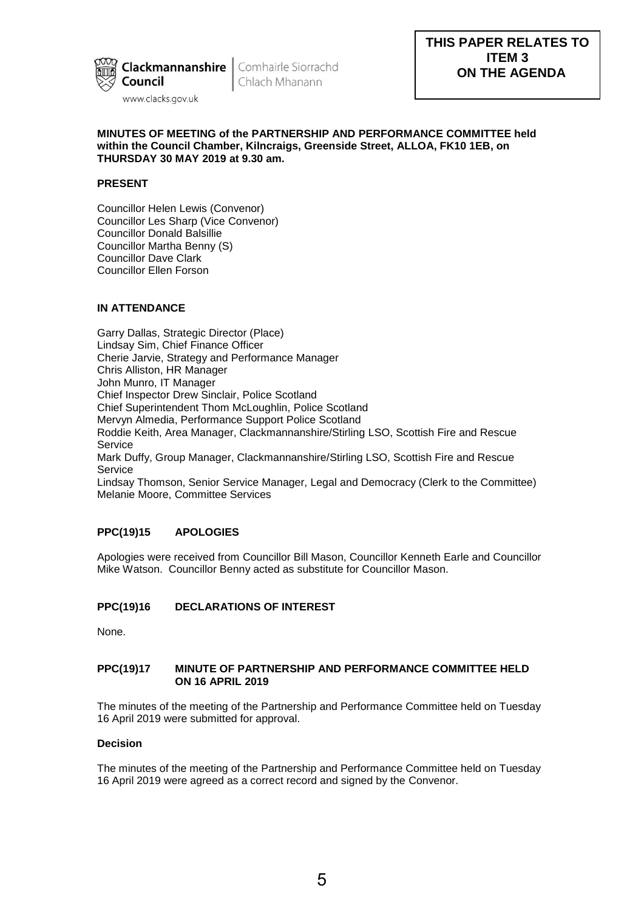

Chlach Mhanann

## **MINUTES OF MEETING of the PARTNERSHIP AND PERFORMANCE COMMITTEE held within the Council Chamber, Kilncraigs, Greenside Street, ALLOA, FK10 1EB, on THURSDAY 30 MAY 2019 at 9.30 am.**

## **PRESENT**

Councillor Helen Lewis (Convenor) Councillor Les Sharp (Vice Convenor) Councillor Donald Balsillie Councillor Martha Benny (S) Councillor Dave Clark Councillor Ellen Forson

# **IN ATTENDANCE**

Garry Dallas, Strategic Director (Place) Lindsay Sim, Chief Finance Officer Cherie Jarvie, Strategy and Performance Manager Chris Alliston, HR Manager John Munro, IT Manager Chief Inspector Drew Sinclair, Police Scotland Chief Superintendent Thom McLoughlin, Police Scotland Mervyn Almedia, Performance Support Police Scotland Roddie Keith, Area Manager, Clackmannanshire/Stirling LSO, Scottish Fire and Rescue Service Mark Duffy, Group Manager, Clackmannanshire/Stirling LSO, Scottish Fire and Rescue Service Lindsay Thomson, Senior Service Manager, Legal and Democracy (Clerk to the Committee) Melanie Moore, Committee Services

## **PPC(19)15 APOLOGIES**

Apologies were received from Councillor Bill Mason, Councillor Kenneth Earle and Councillor Mike Watson. Councillor Benny acted as substitute for Councillor Mason.

# **PPC(19)16 DECLARATIONS OF INTEREST**

None.

## **PPC(19)17 MINUTE OF PARTNERSHIP AND PERFORMANCE COMMITTEE HELD ON 16 APRIL 2019**

The minutes of the meeting of the Partnership and Performance Committee held on Tuesday 16 April 2019 were submitted for approval.

## **Decision**

The minutes of the meeting of the Partnership and Performance Committee held on Tuesday 16 April 2019 were agreed as a correct record and signed by the Convenor.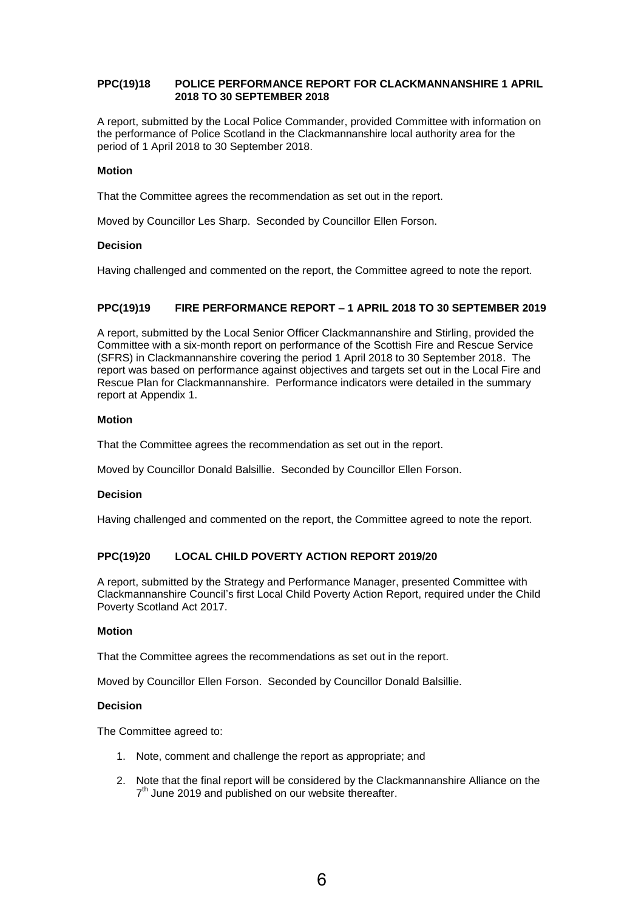## **PPC(19)18 POLICE PERFORMANCE REPORT FOR CLACKMANNANSHIRE 1 APRIL 2018 TO 30 SEPTEMBER 2018**

A report, submitted by the Local Police Commander, provided Committee with information on the performance of Police Scotland in the Clackmannanshire local authority area for the period of 1 April 2018 to 30 September 2018.

## **Motion**

That the Committee agrees the recommendation as set out in the report.

Moved by Councillor Les Sharp. Seconded by Councillor Ellen Forson.

## **Decision**

Having challenged and commented on the report, the Committee agreed to note the report.

## **PPC(19)19 FIRE PERFORMANCE REPORT – 1 APRIL 2018 TO 30 SEPTEMBER 2019**

A report, submitted by the Local Senior Officer Clackmannanshire and Stirling, provided the Committee with a six-month report on performance of the Scottish Fire and Rescue Service (SFRS) in Clackmannanshire covering the period 1 April 2018 to 30 September 2018. The report was based on performance against objectives and targets set out in the Local Fire and Rescue Plan for Clackmannanshire. Performance indicators were detailed in the summary report at Appendix 1.

## **Motion**

That the Committee agrees the recommendation as set out in the report.

Moved by Councillor Donald Balsillie. Seconded by Councillor Ellen Forson.

### **Decision**

Having challenged and commented on the report, the Committee agreed to note the report.

## **PPC(19)20 LOCAL CHILD POVERTY ACTION REPORT 2019/20**

A report, submitted by the Strategy and Performance Manager, presented Committee with Clackmannanshire Council's first Local Child Poverty Action Report, required under the Child Poverty Scotland Act 2017.

### **Motion**

That the Committee agrees the recommendations as set out in the report.

Moved by Councillor Ellen Forson. Seconded by Councillor Donald Balsillie.

## **Decision**

The Committee agreed to:

- 1. Note, comment and challenge the report as appropriate; and
- 2. Note that the final report will be considered by the Clackmannanshire Alliance on the 7<sup>th</sup> June 2019 and published on our website thereafter.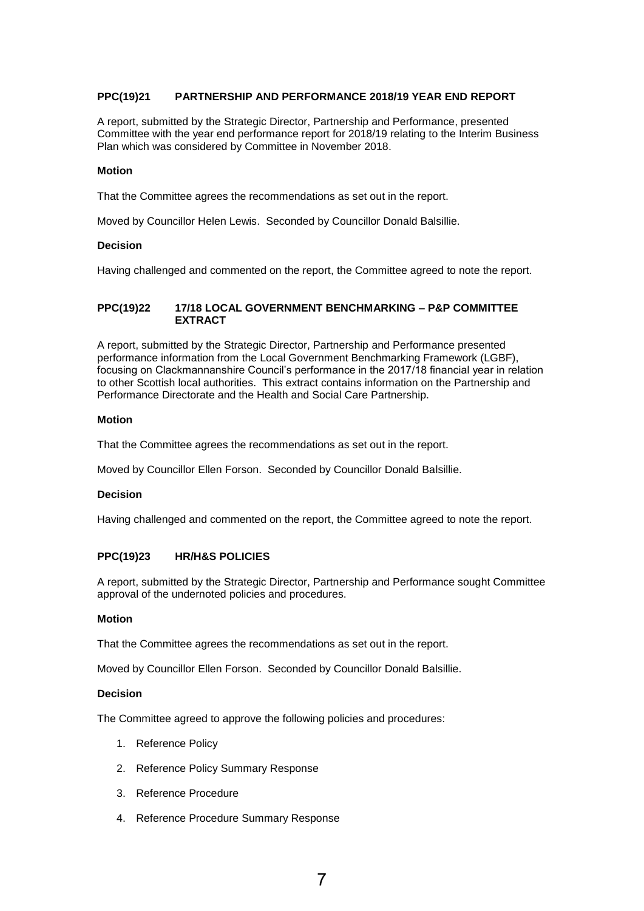## **PPC(19)21 PARTNERSHIP AND PERFORMANCE 2018/19 YEAR END REPORT**

A report, submitted by the Strategic Director, Partnership and Performance, presented Committee with the year end performance report for 2018/19 relating to the Interim Business Plan which was considered by Committee in November 2018.

### **Motion**

That the Committee agrees the recommendations as set out in the report.

Moved by Councillor Helen Lewis. Seconded by Councillor Donald Balsillie.

#### **Decision**

Having challenged and commented on the report, the Committee agreed to note the report.

## **PPC(19)22 17/18 LOCAL GOVERNMENT BENCHMARKING – P&P COMMITTEE EXTRACT**

A report, submitted by the Strategic Director, Partnership and Performance presented performance information from the Local Government Benchmarking Framework (LGBF), focusing on Clackmannanshire Council's performance in the 2017/18 financial year in relation to other Scottish local authorities. This extract contains information on the Partnership and Performance Directorate and the Health and Social Care Partnership.

## **Motion**

That the Committee agrees the recommendations as set out in the report.

Moved by Councillor Ellen Forson. Seconded by Councillor Donald Balsillie.

## **Decision**

Having challenged and commented on the report, the Committee agreed to note the report.

### **PPC(19)23 HR/H&S POLICIES**

A report, submitted by the Strategic Director, Partnership and Performance sought Committee approval of the undernoted policies and procedures.

#### **Motion**

That the Committee agrees the recommendations as set out in the report.

Moved by Councillor Ellen Forson. Seconded by Councillor Donald Balsillie.

#### **Decision**

The Committee agreed to approve the following policies and procedures:

- 1. Reference Policy
- 2. Reference Policy Summary Response
- 3. Reference Procedure
- 4. Reference Procedure Summary Response